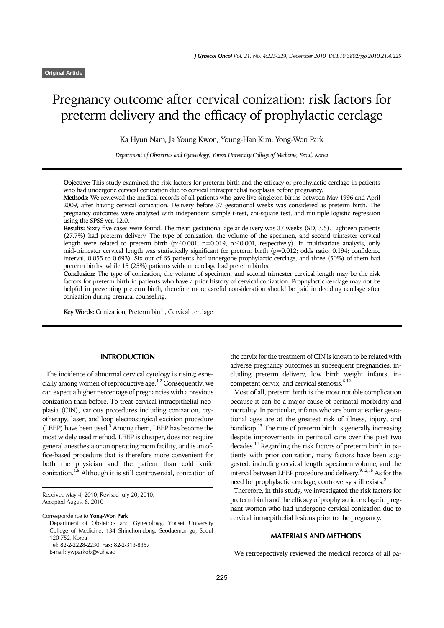# Pregnancy outcome after cervical conization: risk factors for preterm delivery and the efficacy of prophylactic cerclage

Ka Hyun Nam, Ja Young Kwon, Young-Han Kim, Yong-Won Park

*Department of Obstetrics and Gynecology, Yonsei University College of Medicine, Seoul, Korea*

**Objective:** This study examined the risk factors for preterm birth and the efficacy of prophylactic cerclage in patients who had undergone cervical conization due to cervical intraepithelial neoplasia before pregnancy.

**Methods:** We reviewed the medical records of all patients who gave live singleton births between May 1996 and April 2009, after having cervical conization. Delivery before 37 gestational weeks was considered as preterm birth. The pregnancy outcomes were analyzed with independent sample t-test, chi-square test, and multiple logistic regression using the SPSS ver. 12.0.

**Results:** Sixty five cases were found. The mean gestational age at delivery was 37 weeks (SD, 3.5). Eighteen patients (27.7%) had preterm delivery. The type of conization, the volume of the specimen, and second trimester cervical length were related to preterm birth (p≤0.001, p=0.019, p≤0.001, respectively). In multivariate analysis, only mid-trimester cervical length was statistically significant for preterm birth  $(p=0.012)$ ; odds ratio, 0.194; confidence interval, 0.055 to 0.693). Six out of 65 patients had undergone prophylactic cerclage, and three (50%) of them had preterm births, while 15 (25%) patients without cerclage had preterm births.

**Conclusion:** The type of conization, the volume of specimen, and second trimester cervical length may be the risk factors for preterm birth in patients who have a prior history of cervical conization. Prophylactic cerclage may not be helpful in preventing preterm birth, therefore more careful consideration should be paid in deciding cerclage after conization during prenatal counseling.

**Key Words:** Conization, Preterm birth, Cervical cerclage

#### **INTRODUCTION**

The incidence of abnormal cervical cytology is rising; especially among women of reproductive age.<sup>1,2</sup> Consequently, we can expect a higher percentage of pregnancies with a previous conization than before. To treat cervical intraepithelial neoplasia (CIN), various procedures including conization, cryotherapy, laser, and loop electrosurgical excision procedure (LEEP) have been used. $3$  Among them, LEEP has become the most widely used method. LEEP is cheaper, does not require general anesthesia or an operating room facility, and is an office-based procedure that is therefore more convenient for both the physician and the patient than cold knife conization.4,5 Although it is still controversial, conization of

Correspondence to **Yong-Won Park**

Department of Obstetrics and Gynecology, Yonsei University College of Medicine, 134 Shinchon-dong, Seodaemun-gu, Seoul 120-752, Korea Tel: 82-2-2228-2230, Fax: 82-2-313-8357

E-mail: ywparkob@yuhs.ac

the cervix for the treatment of CIN is known to be related with adverse pregnancy outcomes in subsequent pregnancies, including preterm delivery, low birth weight infants, incompetent cervix, and cervical stenosis.<sup>6-12</sup>

Most of all, preterm birth is the most notable complication because it can be a major cause of perinatal morbidity and mortality. In particular, infants who are born at earlier gestational ages are at the greatest risk of illness, injury, and handicap.<sup>13</sup> The rate of preterm birth is generally increasing despite improvements in perinatal care over the past two decades.<sup>14</sup> Regarding the risk factors of preterm birth in patients with prior conization, many factors have been suggested, including cervical length, specimen volume, and the interval between LEEP procedure and delivery.  $9,12,15$  As for the need for prophylactic cerclage, controversy still exists.<sup>9</sup>

Therefore, in this study, we investigated the risk factors for preterm birth and the efficacy of prophylactic cerclage in pregnant women who had undergone cervical conization due to cervical intraepithelial lesions prior to the pregnancy.

# **MATERIALS AND METHODS**

We retrospectively reviewed the medical records of all pa-

Received May 4, 2010, Revised July 20, 2010, Accepted August 6, 2010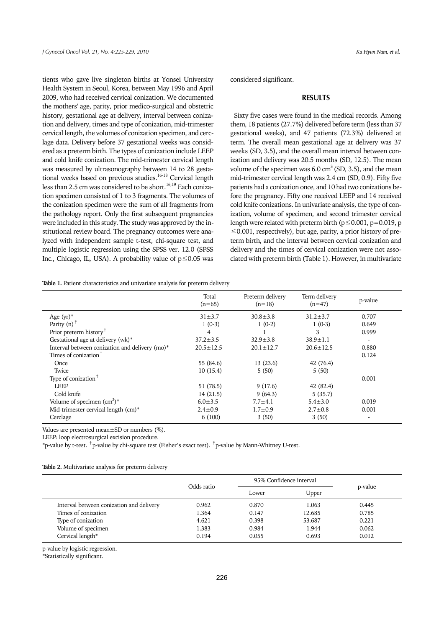tients who gave live singleton births at Yonsei University Health System in Seoul, Korea, between May 1996 and April 2009, who had received cervical conization. We documented the mothers' age, parity, prior medico-surgical and obstetric history, gestational age at delivery, interval between conization and delivery, times and type of conization, mid-trimester cervical length, the volumes of conization specimen, and cerclage data. Delivery before 37 gestational weeks was considered as a preterm birth. The types of conization include LEEP and cold knife conization. The mid-trimester cervical length was measured by ultrasonography between 14 to 28 gestational weeks based on previous studies.16-18 Cervical length less than 2.5 cm was considered to be short.<sup>16,19</sup> Each conization specimen consisted of 1 to 3 fragments. The volumes of the conization specimen were the sum of all fragments from the pathology report. Only the first subsequent pregnancies were included in this study. The study was approved by the institutional review board. The pregnancy outcomes were analyzed with independent sample t-test, chi-square test, and multiple logistic regression using the SPSS ver. 12.0 (SPSS Inc., Chicago, IL, USA). A probability value of p≤0.05 was

considered significant.

#### **RESULTS**

Sixty five cases were found in the medical records. Among them, 18 patients (27.7%) delivered before term (less than 37 gestational weeks), and 47 patients (72.3%) delivered at term. The overall mean gestational age at delivery was 37 weeks (SD, 3.5), and the overall mean interval between conization and delivery was 20.5 months (SD, 12.5). The mean volume of the specimen was  $6.0 \text{ cm}^3$  (SD, 3.5), and the mean mid-trimester cervical length was 2.4 cm (SD, 0.9). Fifty five patients had a conization once, and 10 had two conizations before the pregnancy. Fifty one received LEEP and 14 received cold knife conizations. In univariate analysis, the type of conization, volume of specimen, and second trimester cervical length were related with preterm birth ( $p \le 0.001$ ,  $p = 0.019$ , p  $\leq$ 0.001, respectively), but age, parity, a prior history of preterm birth, and the interval between cervical conization and delivery and the times of cervical conization were not associated with preterm birth (Table 1). However, in multivariate

**Table 1.** Patient characteristics and univariate analysis for preterm delivery

|                                                | Total<br>$(n=65)$ | Preterm delivery<br>$(n=18)$ | Term delivery<br>$(n=47)$ | p-value                  |
|------------------------------------------------|-------------------|------------------------------|---------------------------|--------------------------|
| Age $(yr)^*$                                   | $31 \pm 3.7$      | $30.8 \pm 3.8$               | $31.2 \pm 3.7$            | 0.707                    |
| Parity $(n)$ <sup><math>\dagger</math></sup>   | $1(0-3)$          | $1(0-2)$                     | $1(0-3)$                  | 0.649                    |
| Prior preterm history <sup>†</sup>             | 4                 |                              | 3                         | 0.999                    |
| Gestational age at delivery (wk)*              | $37.2 \pm 3.5$    | $32.9 \pm 3.8$               | $38.9 \pm 1.1$            | $\overline{\phantom{a}}$ |
| Interval between conization and delivery (mo)* | $20.5 \pm 12.5$   | $20.1 \pm 12.7$              | $20.6 \pm 12.5$           | 0.880                    |
| Times of conization $†$                        |                   |                              |                           | 0.124                    |
| Once                                           | 55 (84.6)         | 13(23.6)                     | 42 (76.4)                 |                          |
| Twice                                          | 10(15.4)          | 5(50)                        | 5(50)                     |                          |
| Type of conization <sup>†</sup>                |                   |                              |                           | 0.001                    |
| LEEP                                           | 51 (78.5)         | 9(17.6)                      | 42 (82.4)                 |                          |
| Cold knife                                     | 14(21.5)          | 9(64.3)                      | 5(35.7)                   |                          |
| Volume of specimen $(cm3)$ <sup>*</sup>        | $6.0 \pm 3.5$     | $7.7 + 4.1$                  | $5.4 \pm 3.0$             | 0.019                    |
| Mid-trimester cervical length (cm)*            | $2.4 \pm 0.9$     | $1.7 + 0.9$                  | $2.7 \pm 0.8$             | 0.001                    |
| Cerclage                                       | 6(100)            | 3(50)                        | 3(50)                     |                          |

Values are presented mean±SD or numbers (%).

LEEP: loop electrosurgical excision procedure.

 $*$ p-value by t-test.  $\dagger$ p-value by chi-square test (Fisher's exact test).  $\dagger$ p-value by Mann-Whitney U-test.

| Table 2. Multivariate analysis for preterm delivery |  |  |
|-----------------------------------------------------|--|--|
|-----------------------------------------------------|--|--|

|                                          | Odds ratio | 95% Confidence interval |        |         |
|------------------------------------------|------------|-------------------------|--------|---------|
|                                          |            | Lower                   | Upper  | p-value |
| Interval between conization and delivery | 0.962      | 0.870                   | 1.063  | 0.445   |
| Times of conization                      | 1.364      | 0.147                   | 12.685 | 0.785   |
| Type of conization                       | 4.621      | 0.398                   | 53.687 | 0.221   |
| Volume of specimen                       | 1.383      | 0.984                   | 1.944  | 0.062   |
| Cervical length*                         | 0.194      | 0.055                   | 0.693  | 0.012   |

p-value by logistic regression.

\*Statistically significant.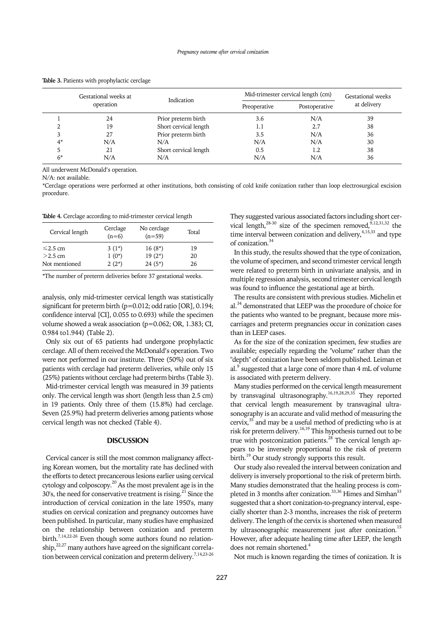|      | Gestational weeks at<br>operation | Indication            | Mid-trimester cervical length (cm) |               | Gestational weeks |
|------|-----------------------------------|-----------------------|------------------------------------|---------------|-------------------|
|      |                                   |                       | Preoperative                       | Postoperative | at delivery       |
|      | 24                                | Prior preterm birth   | 3.6                                | N/A           | 39                |
|      | 19                                | Short cervical length | 1.1                                | 2.7           | 38                |
|      | 27                                | Prior preterm birth   | 3.5                                | N/A           | 36                |
| $4*$ | N/A                               | N/A                   | N/A                                | N/A           | 30                |
|      | 21                                | Short cervical length | 0.5                                | 1.2           | 38                |
| 6*   | N/A                               | N/A                   | N/A                                | N/A           | 36                |

**Table 3.** Patients with prophylactic cerclage

All underwent McDonald's operation.

N/A: not available.

\*Cerclage operations were performed at other institutions, both consisting of cold knife conization rather than loop electrosurgical excision procedure.

**Table 4.** Cerclage according to mid-trimester cervical length

| Cervical length | Cerclage<br>$(n=6)$ | No cerclage<br>$(n=59)$ | Total |
|-----------------|---------------------|-------------------------|-------|
| $\leq$ 2.5 cm   | $3(1^*)$            | $16(8^*)$               | 19    |
| $>2.5$ cm       | $1(0^*)$            | $19(2^*)$               | 20    |
| Not mentioned   | $2(2^*)$            | $24(5^*)$               | 26    |

\*The number of preterm deliveries before 37 gestational weeks.

analysis, only mid-trimester cervical length was statistically significant for preterm birth (p=0.012; odd ratio [OR], 0.194; confidence interval [CI], 0.055 to 0.693) while the specimen volume showed a weak association (p=0.062; OR, 1.383; CI, 0.984 to1.944) (Table 2).

Only six out of 65 patients had undergone prophylactic cerclage. All of them received the McDonald's operation. Two were not performed in our institute. Three (50%) out of six patients with cerclage had preterm deliveries, while only 15 (25%) patients without cerclage had preterm births (Table 3).

Mid-trimester cervical length was measured in 39 patients only. The cervical length was short (length less than 2.5 cm) in 19 patients. Only three of them (15.8%) had cerclage. Seven (25.9%) had preterm deliveries among patients whose cervical length was not checked (Table 4).

### **DISCUSSION**

Cervical cancer is still the most common malignancy affecting Korean women, but the mortality rate has declined with the efforts to detect precancerous lesions earlier using cervical cytology and colposcopy.<sup>20</sup> As the most prevalent age is in the  $30's$ , the need for conservative treatment is rising.<sup>21</sup> Since the introduction of cervical conization in the late 1950's, many studies on cervical conization and pregnancy outcomes have been published. In particular, many studies have emphasized on the relationship between conization and preterm birth.<sup>7,14,22-26</sup> Even though some authors found no relation- $\sinh^{22,27}$  many authors have agreed on the significant correlation between cervical conization and preterm delivery.7,14,23-26

They suggested various associated factors including short cervical length, $^{28-30}$  size of the specimen removed,  $^{9,12,31,32}$  the time interval between conization and delivery,  $4,15,33$  and type of conization.<sup>34</sup>

In this study, the results showed that the type of conization, the volume of specimen, and second trimester cervical length were related to preterm birth in univariate analysis, and in multiple regression analysis, second trimester cervical length was found to influence the gestational age at birth.

The results are consistent with previous studies. Michelin et al.<sup>34</sup> demonstrated that LEEP was the procedure of choice for the patients who wanted to be pregnant, because more miscarriages and preterm pregnancies occur in conization cases than in LEEP cases.

As for the size of the conization specimen, few studies are available; especially regarding the "volume" rather than the "depth" of conization have been seldom published. Leiman et al.<sup>9</sup> suggested that a large cone of more than 4 mL of volume is associated with preterm delivery.

Many studies performed on the cervical length measurement by transvaginal ultrasonography.<sup>16,19,28,29,35</sup> They reported that cervical length measurement by transvaginal ultrasonography is an accurate and valid method of measuring the cervix,35 and may be a useful method of predicting who is at risk for preterm delivery.<sup>16,19</sup> This hypothesis turned out to be true with postconization patients.<sup>28</sup> The cervical length appears to be inversely proportional to the risk of preterm birth.<sup>19</sup> Our study strongly supports this result.

Our study also revealed the interval between conization and delivery is inversely proportional to the risk of preterm birth. Many studies demonstrated that the healing process is completed in 3 months after conization.<sup>33,36</sup> Himes and Simhan<sup>33</sup> suggested that a short conization-to-pregnancy interval, especially shorter than 2-3 months, increases the risk of preterm delivery. The length of the cervix is shortened when measured by ultrasonographic measurement just after conization.<sup>15</sup> However, after adequate healing time after LEEP, the length does not remain shortened.<sup>4</sup>

Not much is known regarding the times of conization. It is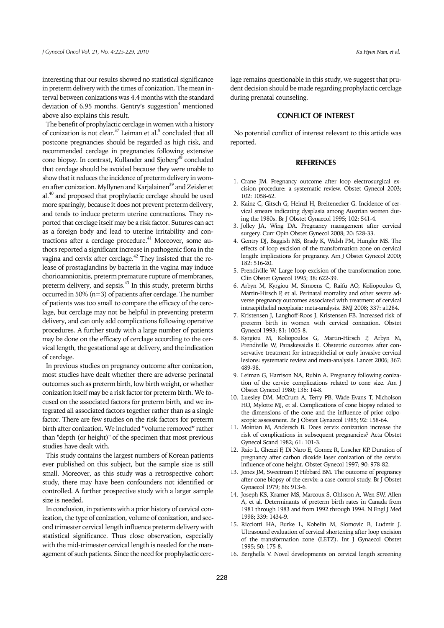interesting that our results showed no statistical significance in preterm delivery with the times of conization. The mean interval between conizations was 4.4 months with the standard deviation of 6.95 months. Gentry's suggestion<sup>4</sup> mentioned above also explains this result.

The benefit of prophylactic cerclage in women with a history of conization is not clear. $^{37}$  Leiman et al. $^9$  concluded that all postcone pregnancies should be regarded as high risk, and recommended cerclage in pregnancies following extensive cone biopsy. In contrast, Kullander and Sjoberg<sup>38</sup> concluded that cerclage should be avoided because they were unable to show that it reduces the incidence of preterm delivery in women after conization. Myllynen and Karjalainen<sup>39</sup> and Zeisler et al.40 and proposed that prophylactic cerclage should be used more sparingly, because it does not prevent preterm delivery, and tends to induce preterm uterine contractions. They reported that cerclage itself may be a risk factor. Sutures can act as a foreign body and lead to uterine irritability and contractions after a cerclage procedure.41 Moreover, some authors reported a significant increase in pathogenic flora in the vagina and cervix after cerclage.<sup>42</sup> They insisted that the release of prostaglandins by bacteria in the vagina may induce chorioamnionitis, preterm premature rupture of membranes, preterm delivery, and sepsis.<sup>43</sup> In this study, preterm births occurred in 50% (n=3) of patients after cerclage. The number of patients was too small to compare the efficacy of the cerclage, but cerclage may not be helpful in preventing preterm delivery, and can only add complications following operative procedures. A further study with a large number of patients may be done on the efficacy of cerclage according to the cervical length, the gestational age at delivery, and the indication of cerclage.

In previous studies on pregnancy outcome after conization, most studies have dealt whether there are adverse perinatal outcomes such as preterm birth, low birth weight, or whether conization itself may be a risk factor for preterm birth. We focused on the associated factors for preterm birth, and we integrated all associated factors together rather than as a single factor. There are few studies on the risk factors for preterm birth after conization. We included "volume removed" rather than "depth (or height)" of the specimen that most previous studies have dealt with.

This study contains the largest numbers of Korean patients ever published on this subject, but the sample size is still small. Moreover, as this study was a retrospective cohort study, there may have been confounders not identified or controlled. A further prospective study with a larger sample size is needed.

In conclusion, in patients with a prior history of cervical conization, the type of conization, volume of conization, and second trimester cervical length influence preterm delivery with statistical significance. Thus close observation, especially with the mid-trimester cervical length is needed for the management of such patients. Since the need for prophylactic cerclage remains questionable in this study, we suggest that prudent decision should be made regarding prophylactic cerclage during prenatal counseling.

## **CONFLICT OF INTEREST**

No potential conflict of interest relevant to this article was reported.

#### **REFERENCES**

- 1. Crane JM. Pregnancy outcome after loop electrosurgical excision procedure: a systematic review. Obstet Gynecol 2003; 102: 1058-62.
- 2. Kainz C, Gitsch G, Heinzl H, Breitenecker G. Incidence of cervical smears indicating dysplasia among Austrian women during the 1980s. Br J Obstet Gynaecol 1995; 102: 541-4.
- Jolley JA, Wing DA. Pregnancy management after cervical surgery. Curr Opin Obstet Gynecol 2008; 20: 528-33.
- 4. Gentry DJ, Baggish MS, Brady K, Walsh PM, Hungler MS. The effects of loop excision of the transformation zone on cervical length: implications for pregnancy. Am J Obstet Gynecol 2000; 182: 516-20.
- 5. Prendiville W. Large loop excision of the transformation zone. Clin Obstet Gynecol 1995; 38: 622-39.
- 6. Arbyn M, Kyrgiou M, Simoens C, Raifu AO, Koliopoulos G, Martin-Hirsch P, et al. Perinatal mortality and other severe adverse pregnancy outcomes associated with treatment of cervical intraepithelial neoplasia: meta-analysis. BMJ 2008; 337: a1284.
- 7. Kristensen J, Langhoff-Roos J, Kristensen FB. Increased risk of preterm birth in women with cervical conization. Obstet Gynecol 1993; 81: 1005-8.
- 8. Kyrgiou M, Koliopoulos G, Martin-Hirsch P, Arbyn M, Prendiville W, Paraskevaidis E. Obstetric outcomes after conservative treatment for intraepithelial or early invasive cervical lesions: systematic review and meta-analysis. Lancet 2006; 367: 489-98.
- 9. Leiman G, Harrison NA, Rubin A. Pregnancy following conization of the cervix: complications related to cone size. Am J Obstet Gynecol 1980; 136: 14-8.
- 10. Luesley DM, McCrum A, Terry PB, Wade-Evans T, Nicholson HO, Mylotte MJ, et al. Complications of cone biopsy related to the dimensions of the cone and the influence of prior colposcopic assessment. Br J Obstet Gynaecol 1985; 92: 158-64.
- 11. Moinian M, Andersch B. Does cervix conization increase the risk of complications in subsequent pregnancies? Acta Obstet Gynecol Scand 1982; 61: 101-3.
- 12. Raio L, Ghezzi F, Di Naro E, Gomez R, Luscher KP. Duration of pregnancy after carbon dioxide laser conization of the cervix: influence of cone height. Obstet Gynecol 1997; 90: 978-82.
- 13. Jones JM, Sweetnam P, Hibbard BM. The outcome of pregnancy after cone biopsy of the cervix: a case-control study. Br J Obstet Gynaecol 1979; 86: 913-6.
- 14. Joseph KS, Kramer MS, Marcoux S, Ohlsson A, Wen SW, Allen A, et al. Determinants of preterm birth rates in Canada from 1981 through 1983 and from 1992 through 1994. N Engl J Med 1998; 339: 1434-9.
- 15. Ricciotti HA, Burke L, Kobelin M, Slomovic B, Ludmir J. Ultrasound evaluation of cervical shortening after loop excision of the transformation zone (LETZ). Int J Gynaecol Obstet 1995; 50: 175-8.
- 16. Berghella V. Novel developments on cervical length screening